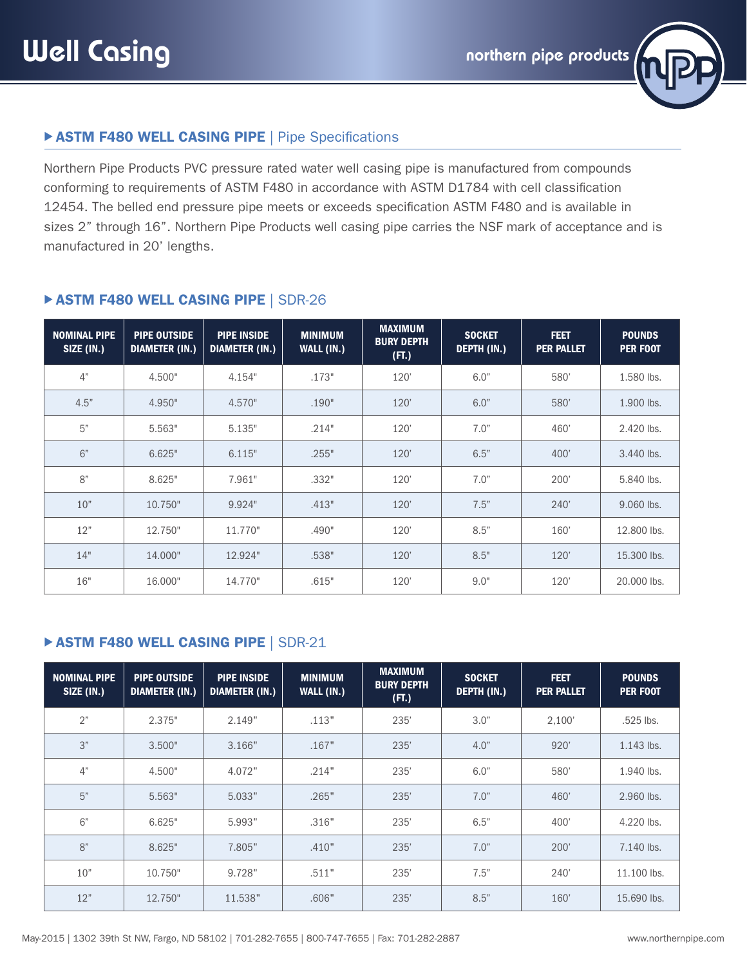

## **ASTM F480 WELL CASING PIPE | Pipe Specifications**

Northern Pipe Products PVC pressure rated water well casing pipe is manufactured from compounds conforming to requirements of ASTM F480 in accordance with ASTM D1784 with cell classification 12454. The belled end pressure pipe meets or exceeds specification ASTM F480 and is available in sizes 2" through 16". Northern Pipe Products well casing pipe carries the NSF mark of acceptance and is manufactured in 20' lengths.

| <b>NOMINAL PIPE</b><br>SIZE (IN.) | <b>PIPE OUTSIDE</b><br><b>DIAMETER (IN.)</b> | <b>PIPE INSIDE</b><br><b>DIAMETER (IN.)</b> | <b>MINIMUM</b><br>WALL (IN.) | <b>MAXIMUM</b><br><b>BURY DEPTH</b><br>(FT.) | <b>SOCKET</b><br>DEPTH (IN.) | <b>FEET</b><br><b>PER PALLET</b> | <b>POUNDS</b><br><b>PER FOOT</b> |
|-----------------------------------|----------------------------------------------|---------------------------------------------|------------------------------|----------------------------------------------|------------------------------|----------------------------------|----------------------------------|
| 4"                                | 4.500"                                       | 4.154"                                      | .173"                        | 120'                                         | 6.0"                         | 580'                             | 1.580 lbs.                       |
| 4.5"                              | 4.950"                                       | 4.570"                                      | .190"                        | 120'                                         | 6.0"                         | 580'                             | 1.900 lbs.                       |
| 5"                                | 5.563"                                       | 5.135"                                      | .214"                        | 120'                                         | 7.0"                         | 460'                             | 2.420 lbs.                       |
| 6"                                | 6.625"                                       | 6.115"                                      | .255"                        | 120'                                         | 6.5"                         | 400'                             | 3.440 lbs.                       |
| 8"                                | 8.625"                                       | 7.961"                                      | .332"                        | 120'                                         | 7.0"                         | 200'                             | 5.840 lbs.                       |
| 10"                               | 10.750"                                      | 9.924"                                      | .413"                        | 120'                                         | 7.5"                         | 240'                             | 9.060 lbs.                       |
| 12"                               | 12.750"                                      | 11.770"                                     | .490"                        | 120'                                         | 8.5"                         | 160'                             | 12,800 lbs.                      |
| 14"                               | 14.000"                                      | 12.924"                                     | .538"                        | 120'                                         | 8.5"                         | 120'                             | 15,300 lbs.                      |
| 16"                               | 16.000"                                      | 14.770"                                     | .615"                        | 120'                                         | 9.0"                         | 120'                             | 20,000 lbs.                      |

## **ASTM F480 WELL CASING PIPE | SDR-26**

#### **EXTM F480 WELL CASING PIPE | SDR-21**

| <b>NOMINAL PIPE</b><br>SIZE (IN.) | <b>PIPE OUTSIDE</b><br><b>DIAMETER (IN.)</b> | <b>PIPE INSIDE</b><br><b>DIAMETER (IN.)</b> | <b>MINIMUM</b><br>WALL (IN.) | <b>MAXIMUM</b><br><b>BURY DEPTH</b><br>(FT.) | <b>SOCKET</b><br>DEPTH (IN.) | <b>FEET</b><br><b>PER PALLET</b> | <b>POUNDS</b><br><b>PER FOOT</b> |
|-----------------------------------|----------------------------------------------|---------------------------------------------|------------------------------|----------------------------------------------|------------------------------|----------------------------------|----------------------------------|
| 2"                                | 2.375"                                       | 2.149"                                      | .113"                        | 235'                                         | 3.0"                         | 2,100'                           | .525 lbs.                        |
| 3"                                | 3.500"                                       | 3.166"                                      | .167"                        | 235'                                         | 4.0"                         | 920'                             | 1.143 lbs.                       |
| 4"                                | 4.500"                                       | 4.072"                                      | .214"                        | 235'                                         | 6.0"                         | 580'                             | 1.940 lbs.                       |
| 5"                                | 5.563"                                       | 5.033"                                      | .265"                        | 235'                                         | 7.0"                         | 460'                             | 2.960 lbs.                       |
| 6"                                | 6.625"                                       | 5.993"                                      | .316"                        | 235'                                         | 6.5"                         | 400'                             | 4.220 lbs.                       |
| 8"                                | 8.625"                                       | 7.805"                                      | .410"                        | 235'                                         | 7.0"                         | 200'                             | 7.140 lbs.                       |
| 10"                               | 10.750"                                      | 9.728"                                      | .511"                        | 235'                                         | 7.5"                         | 240'                             | 11.100 lbs.                      |
| 12"                               | 12.750"                                      | 11.538"                                     | .606"                        | 235'                                         | 8.5"                         | 160'                             | 15.690 lbs.                      |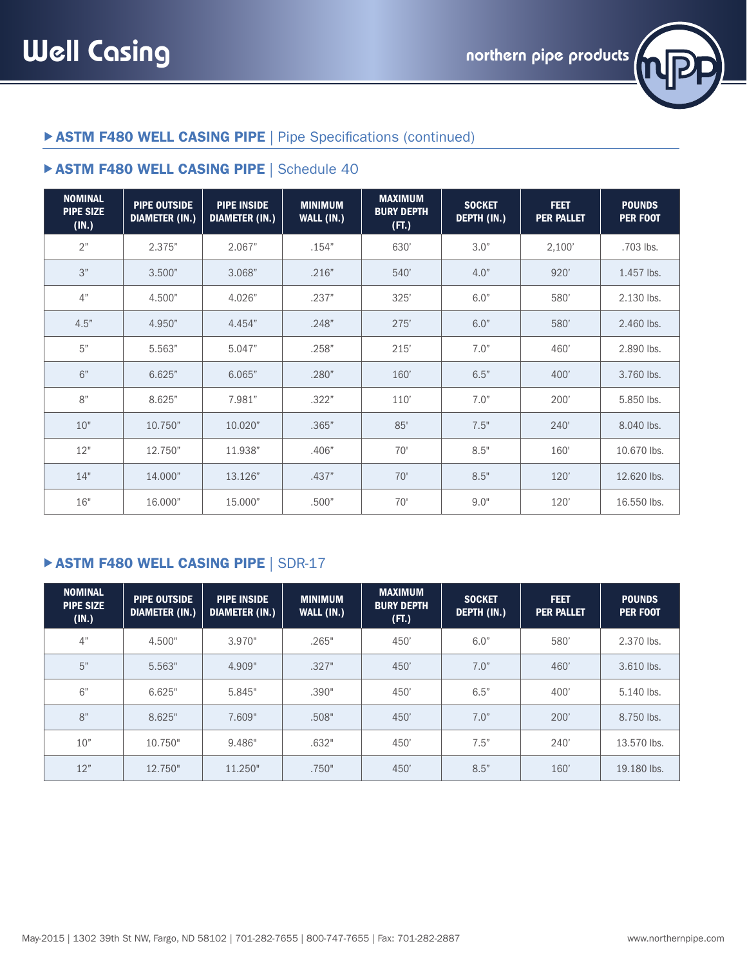

# **> ASTM F480 WELL CASING PIPE | Pipe Specifications (continued)**

## **ASTM F480 WELL CASING PIPE | Schedule 40**

| <b>NOMINAL</b><br><b>PIPE SIZE</b><br>(IN.) | <b>PIPE OUTSIDE</b><br><b>DIAMETER (IN.)</b> | <b>PIPE INSIDE</b><br><b>DIAMETER (IN.)</b> | <b>MINIMUM</b><br>WALL (IN.) | <b>MAXIMUM</b><br><b>BURY DEPTH</b><br>(FT.) | <b>SOCKET</b><br>DEPTH (IN.) | <b>FEET</b><br><b>PER PALLET</b> | <b>POUNDS</b><br><b>PER FOOT</b> |
|---------------------------------------------|----------------------------------------------|---------------------------------------------|------------------------------|----------------------------------------------|------------------------------|----------------------------------|----------------------------------|
| 2"                                          | 2.375"                                       | 2.067"                                      | .154"                        | 630'                                         | 3.0"                         | 2,100'                           | .703 lbs.                        |
| 3"                                          | 3.500"                                       | 3.068"                                      | .216"                        | 540'                                         | 4.0"                         | 920'                             | 1.457 lbs.                       |
| 4"                                          | 4.500"                                       | 4.026"                                      | .237"                        | 325'                                         | 6.0"                         | 580'                             | 2.130 lbs.                       |
| 4.5"                                        | 4.950"                                       | 4.454"                                      | .248"                        | 275'                                         | 6.0"                         | 580'                             | 2.460 lbs.                       |
| 5"                                          | 5.563"                                       | 5.047"                                      | .258"                        | 215'                                         | 7.0"                         | 460'                             | 2.890 lbs.                       |
| 6"                                          | 6.625"                                       | 6.065"                                      | .280"                        | 160'                                         | 6.5"                         | 400'                             | 3.760 lbs.                       |
| 8"                                          | 8.625"                                       | 7.981"                                      | .322"                        | 110'                                         | 7.0"                         | 200'                             | 5.850 lbs.                       |
| 10"                                         | 10.750"                                      | 10.020"                                     | .365"                        | 85'                                          | 7.5"                         | 240'                             | 8.040 lbs.                       |
| 12"                                         | 12.750"                                      | 11.938"                                     | .406"                        | 70'                                          | 8.5"                         | 160'                             | 10.670 lbs.                      |
| 14"                                         | 14.000"                                      | 13.126"                                     | .437"                        | 70'                                          | 8.5"                         | 120'                             | 12.620 lbs.                      |
| 16"                                         | 16.000"                                      | 15,000"                                     | .500"                        | 70'                                          | 9.0"                         | 120'                             | 16.550 lbs.                      |

## **EXTM F480 WELL CASING PIPE | SDR-17**

| <b>NOMINAL</b><br><b>PIPE SIZE</b><br>(IN.) | <b>PIPE OUTSIDE</b><br><b>DIAMETER (IN.)</b> | <b>PIPE INSIDE</b><br><b>DIAMETER (IN.)</b> | <b>MINIMUM</b><br>WALL (IN.) | <b>MAXIMUM</b><br><b>BURY DEPTH</b><br>(FT.) | <b>SOCKET</b><br><b>DEPTH (IN.)</b> | <b>FEET</b><br><b>PER PALLET</b> | <b>POUNDS</b><br><b>PER FOOT</b> |
|---------------------------------------------|----------------------------------------------|---------------------------------------------|------------------------------|----------------------------------------------|-------------------------------------|----------------------------------|----------------------------------|
| 4"                                          | 4.500"                                       | 3.970"                                      | .265"                        | 450'                                         | 6.0"                                | 580'                             | 2.370 lbs.                       |
| 5"                                          | 5.563"                                       | 4.909"                                      | .327"                        | 450'                                         | 7.0"                                | 460'                             | 3.610 lbs.                       |
| 6"                                          | 6.625"                                       | 5.845"                                      | .390"                        | 450'                                         | 6.5"                                | 400'                             | 5.140 lbs.                       |
| 8"                                          | 8.625"                                       | 7.609"                                      | .508"                        | 450'                                         | 7.0"                                | 200'                             | 8.750 lbs.                       |
| 10"                                         | 10.750"                                      | 9.486"                                      | .632"                        | 450'                                         | 7.5"                                | 240'                             | 13.570 lbs.                      |
| 12"                                         | 12.750"                                      | 11.250"                                     | .750"                        | 450'                                         | 8.5"                                | 160'                             | 19.180 lbs.                      |